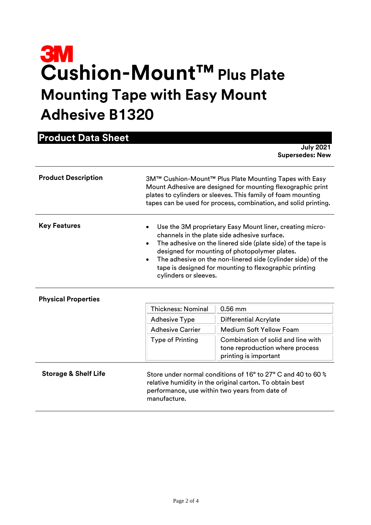# **Cushion-Mount™Plus Plate Mounting Tape with Easy Mount Adhesive B1320**

| <b>Product Data Sheet</b>       |                                                                                                                                                                                                                                                                                                                                                                             |                                                                                                |  |  |
|---------------------------------|-----------------------------------------------------------------------------------------------------------------------------------------------------------------------------------------------------------------------------------------------------------------------------------------------------------------------------------------------------------------------------|------------------------------------------------------------------------------------------------|--|--|
|                                 |                                                                                                                                                                                                                                                                                                                                                                             | <b>July 2021</b><br><b>Supersedes: New</b>                                                     |  |  |
| <b>Product Description</b>      | 3M™ Cushion-Mount™ Plus Plate Mounting Tapes with Easy<br>Mount Adhesive are designed for mounting flexographic print<br>plates to cylinders or sleeves. This family of foam mounting<br>tapes can be used for process, combination, and solid printing.                                                                                                                    |                                                                                                |  |  |
| <b>Key Features</b>             | Use the 3M proprietary Easy Mount liner, creating micro-<br>channels in the plate side adhesive surface.<br>The adhesive on the linered side (plate side) of the tape is<br>designed for mounting of photopolymer plates.<br>The adhesive on the non-linered side (cylinder side) of the<br>tape is designed for mounting to flexographic printing<br>cylinders or sleeves. |                                                                                                |  |  |
| <b>Physical Properties</b>      |                                                                                                                                                                                                                                                                                                                                                                             |                                                                                                |  |  |
|                                 | <b>Thickness: Nominal</b>                                                                                                                                                                                                                                                                                                                                                   | $0.56$ mm                                                                                      |  |  |
|                                 | <b>Adhesive Type</b>                                                                                                                                                                                                                                                                                                                                                        | <b>Differential Acrylate</b>                                                                   |  |  |
|                                 | <b>Adhesive Carrier</b>                                                                                                                                                                                                                                                                                                                                                     | Medium Soft Yellow Foam                                                                        |  |  |
|                                 | <b>Type of Printing</b>                                                                                                                                                                                                                                                                                                                                                     | Combination of solid and line with<br>tone reproduction where process<br>printing is important |  |  |
| <b>Storage &amp; Shelf Life</b> | Store under normal conditions of 16° to 27° C and 40 to 60 %<br>relative humidity in the original carton. To obtain best<br>performance, use within two years from date of<br>manufacture.                                                                                                                                                                                  |                                                                                                |  |  |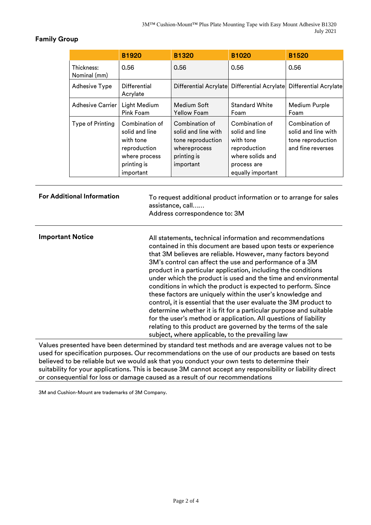## **Family Group**

|                            | <b>B1920</b>                                                                                               | <b>B1320</b>                                                                                           | <b>B1020</b>                                                                                                          | <b>B1520</b>                                                                    |
|----------------------------|------------------------------------------------------------------------------------------------------------|--------------------------------------------------------------------------------------------------------|-----------------------------------------------------------------------------------------------------------------------|---------------------------------------------------------------------------------|
| Thickness:<br>Nominal (mm) | 0.56                                                                                                       | 0.56                                                                                                   | 0.56                                                                                                                  | 0.56                                                                            |
| <b>Adhesive Type</b>       | Differential<br>Acrylate                                                                                   |                                                                                                        | Differential Acrylate Differential Acrylate Differential Acrylate                                                     |                                                                                 |
| <b>Adhesive Carrier</b>    | Light Medium<br>Pink Foam                                                                                  | Medium Soft<br><b>Yellow Foam</b>                                                                      | <b>Standard White</b><br>Foam                                                                                         | Medium Purple<br>Foam                                                           |
| Type of Printing           | Combination of<br>solid and line<br>with tone<br>reproduction<br>where process<br>printing is<br>important | Combination of<br>solid and line with<br>tone reproduction<br>whereprocess<br>printing is<br>important | Combination of<br>solid and line<br>with tone<br>reproduction<br>where solids and<br>process are<br>equally important | Combination of<br>solid and line with<br>tone reproduction<br>and fine reverses |

For Additional Information **To request additional product information or to arrange for sales**  assistance, call…… Address correspondence to: 3M **Important Notice** All statements, technical information and recommendations contained in this document are based upon tests or experience that 3M believes are reliable. However, many factors beyond 3M's control can affect the use and performance of a 3M product in a particular application, including the conditions under which the product is used and the time and environmental conditions in which the product is expected to perform. Since these factors are uniquely within the user's knowledge and control, it is essential that the user evaluate the 3M product to determine whether it is fit for a particular purpose and suitable for the user's method or application. All questions of liability relating to this product are governed by the terms of the sale subject, where applicable, to the prevailing law

Values presented have been determined by standard test methods and are average values not to be used for specification purposes. Our recommendations on the use of our products are based on tests believed to be reliable but we would ask that you conduct your own tests to determine their suitability for your applications. This is because 3M cannot accept any responsibility or liability direct or consequential for loss or damage caused as a result of our recommendations

3M and Cushion-Mount are trademarks of 3M Company.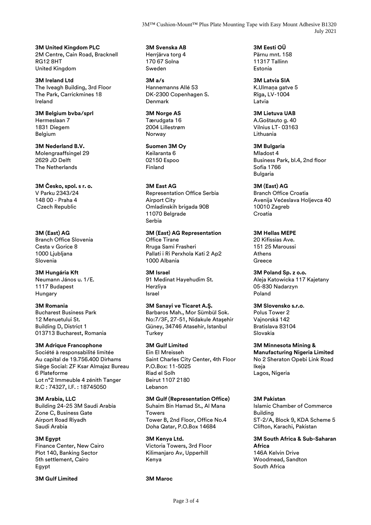3M™ Cushion-Mount™ Plus Plate Mounting Tape with Easy Mount Adhesive B1320 July 2021

**3M United Kingdom PLC** 2M Centre, Cain Road, Bracknell RG12 8HT United Kingdom

**3M Ireland Ltd** The Iveagh Building, 3rd Floor The Park, Carrickmines 18 Ireland

**3M Belgium bvba/sprl** Hermeslaan 7 1831 Diegem Belgium

**3M Nederland B.V.** Molengraaffsingel 29 2629 JD Delft The Netherlands

**3M Česko, spol. s r. o.** V Parku 2343/24 148 00 - Praha 4 Czech Republic

**3M (East) AG** Branch Office Slovenia Cesta v Gorice 8 1000 Ljubljana Slovenia

**3M Hungária Kft** Neumann János u. 1/E. 1117 Budapest Hungary

**3M Romania** Bucharest Business Park 12 Menuetului St. Building D, District 1 013713 Bucharest, Romania

**3M Adrique Francophone**

Société à responsabilité limitée Au capital de 19.756.400 Dirhams Siège Social: ZF Ksar Almajaz Bureau 6 Plateforme Lot n°2 Immeuble 4 zénith Tanger R.C : 74327, I.F. : 18745050

**3M Arabia, LLC** Building 24-25 3M Saudi Arabia Zone C, Business Gate Airport Road Riyadh Saudi Arabia

### **3M Egypt**

Finance Center, New Cairo Plot 140, Banking Sector 5th settlement, Cairo Egypt

**3M Gulf Limited 3M Maroc**

**3M Svenska AB** Herrjärva torg 4 170 67 Solna Sweden

**3M a/s** Hannemanns Allé 53 DK-2300 Copenhagen S. Denmark

**3M Norge AS** Tærudgata 16 2004 Lillestrøm Norway

**Suomen 3M Oy** Keilaranta 6 02150 Espoo Finland

**3M East AG** Representation Office Serbia Airport City Omladinskih brigada 90B 11070 Belgrade Serbia

**3M (East) AG Representation** Office Tirane Rruga Sami Frasheri Pallati i Ri Perxhola Kati 2 Ap2 1000 Albania

**3M Israel** 91 Medinat Hayehudim St. Herzliya Israel

**3M Sanayi ve Ticaret A.Ş.** Barbaros Mah., Mor Sümbül Sok. No:7/3F, 27-51, Nidakule Ataşehir Güney, 34746 Atasehir, Istanbul **Turkey** 

**3M Gulf Limited** Ein El Mreisseh Saint Charles City Center, 4th Floor P.O.Box: 11-5025 Riad el Solh Beirut 1107 2180 Lebanon

**3M Gulf (Representation Office)**

Suhaim Bin Hamad St., Al Mana Towers Tower B, 2nd Floor, Office No.4 Doha Qatar, P.O.Box 14684

**3M Kenya Ltd.** Victoria Towers, 3rd Floor Kilimanjaro Av, Upperhill Kenya

**3M Eesti OÜ** Pärnu mnt. 158 11317 Tallinn Estonia

**3M Latvia SIA** K.Ulmana gatve 5 Rīga, LV-1004 Latvia

**3M Lietuva UAB** A.Goštauto g. 40 Vilnius LT- 03163 Lithuania

**3M Bulgaria**

Mladost 4 Business Park, bl.4, 2nd floor Sofia 1766 Bulgaria

**3M (East) AG**

Branch Office Croatia Avenija Većeslava Holjevca 40 10010 Zagreb Croatia

**3M Hellas MEPE**

20 Kifissias Ave. 151 25 Maroussi Athens **Greece** 

**3M Poland Sp. z o.o.** Aleja Katowicka 117 Kajetany 05-830 Nadarzyn Poland

**3M Slovensko s.r.o**. Polus Tower 2 Vajnorská 142 Bratislava 83104 Slovakia

**3M Minnesota Mining & Manufacturing Nigeria Limited** No 2 Sheraton Opebi Link Road Ikeja Lagos, Nigeria

#### **3M Pakistan**

Islamic Chamber of Commerce Building ST-2/A, Block 9, KDA Scheme 5 Clifton, Karachi, Pakistan

**3M South Africa & Sub-Saharan Africa** 146A Kelvin Drive

Woodmead, Sandton South Africa